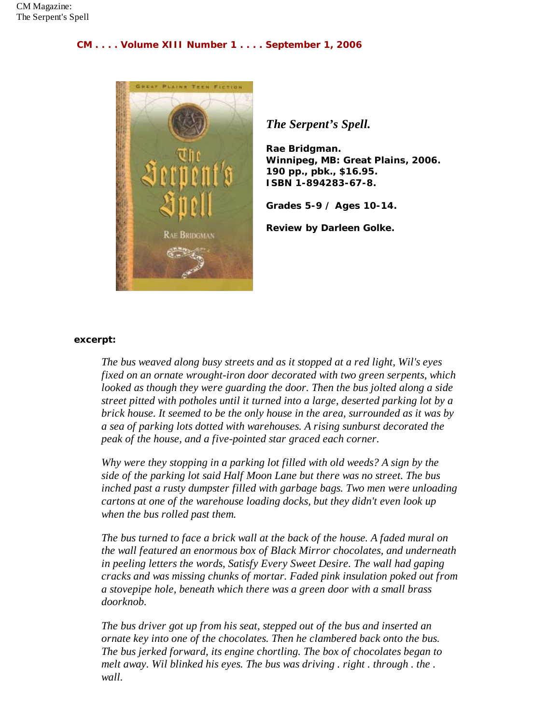## **CM . . . . Volume XIII Number 1 . . . . September 1, 2006**



*The Serpent's Spell.*

**Rae Bridgman. Winnipeg, MB: Great Plains, 2006. 190 pp., pbk., \$16.95. ISBN 1-894283-67-8.**

**Grades 5-9 / Ages 10-14.**

**Review by Darleen Golke.**

## **excerpt:**

*The bus weaved along busy streets and as it stopped at a red light, Wil's eyes fixed on an ornate wrought-iron door decorated with two green serpents, which looked as though they were guarding the door. Then the bus jolted along a side street pitted with potholes until it turned into a large, deserted parking lot by a brick house. It seemed to be the only house in the area, surrounded as it was by a sea of parking lots dotted with warehouses. A rising sunburst decorated the peak of the house, and a five-pointed star graced each corner.*

*Why were they stopping in a parking lot filled with old weeds? A sign by the side of the parking lot said Half Moon Lane but there was no street. The bus inched past a rusty dumpster filled with garbage bags. Two men were unloading cartons at one of the warehouse loading docks, but they didn't even look up when the bus rolled past them.*

*The bus turned to face a brick wall at the back of the house. A faded mural on the wall featured an enormous box of Black Mirror chocolates, and underneath in peeling letters the words, Satisfy Every Sweet Desire. The wall had gaping cracks and was missing chunks of mortar. Faded pink insulation poked out from a stovepipe hole, beneath which there was a green door with a small brass doorknob.*

*The bus driver got up from his seat, stepped out of the bus and inserted an ornate key into one of the chocolates. Then he clambered back onto the bus. The bus jerked forward, its engine chortling. The box of chocolates began to melt away. Wil blinked his eyes. The bus was driving . right . through . the . wall.*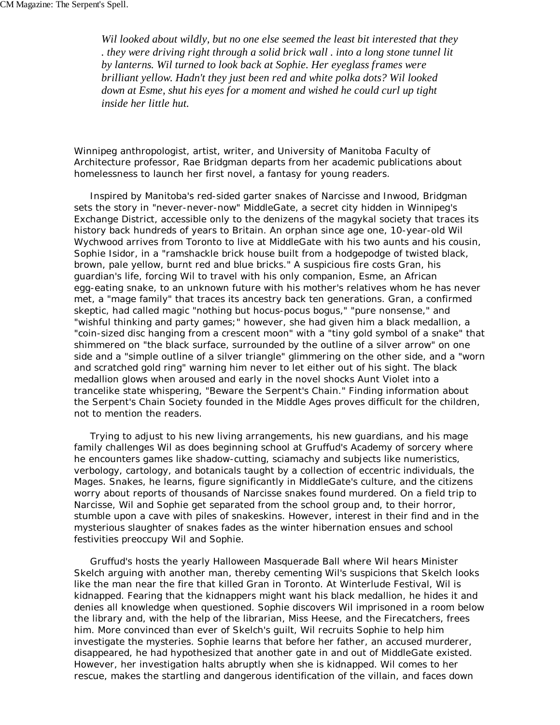*Wil looked about wildly, but no one else seemed the least bit interested that they . they were driving right through a solid brick wall . into a long stone tunnel lit by lanterns. Wil turned to look back at Sophie. Her eyeglass frames were brilliant yellow. Hadn't they just been red and white polka dots? Wil looked down at Esme, shut his eyes for a moment and wished he could curl up tight inside her little hut.*

Winnipeg anthropologist, artist, writer, and University of Manitoba Faculty of Architecture professor, Rae Bridgman departs from her academic publications about homelessness to launch her first novel, a fantasy for young readers.

 Inspired by Manitoba's red-sided garter snakes of Narcisse and Inwood, Bridgman sets the story in "never-never-now" MiddleGate, a secret city hidden in Winnipeg's Exchange District, accessible only to the denizens of the magykal society that traces its history back hundreds of years to Britain. An orphan since age one, 10-year-old Wil Wychwood arrives from Toronto to live at MiddleGate with his two aunts and his cousin, Sophie Isidor, in a "ramshackle brick house built from a hodgepodge of twisted black, brown, pale yellow, burnt red and blue bricks." A suspicious fire costs Gran, his guardian's life, forcing Wil to travel with his only companion, Esme, an African egg-eating snake, to an unknown future with his mother's relatives whom he has never met, a "mage family" that traces its ancestry back ten generations. Gran, a confirmed skeptic, had called magic "nothing but hocus-pocus bogus," "pure nonsense," and "wishful thinking and party games;" however, she had given him a black medallion, a "coin-sized disc hanging from a crescent moon" with a "tiny gold symbol of a snake" that shimmered on "the black surface, surrounded by the outline of a silver arrow" on one side and a "simple outline of a silver triangle" glimmering on the other side, and a "worn and scratched gold ring" warning him never to let either out of his sight. The black medallion glows when aroused and early in the novel shocks Aunt Violet into a trancelike state whispering, "Beware the Serpent's Chain." Finding information about the Serpent's Chain Society founded in the Middle Ages proves difficult for the children, not to mention the readers.

 Trying to adjust to his new living arrangements, his new guardians, and his mage family challenges Wil as does beginning school at Gruffud's Academy of sorcery where he encounters games like shadow-cutting, sciamachy and subjects like numeristics, verbology, cartology, and botanicals taught by a collection of eccentric individuals, the Mages. Snakes, he learns, figure significantly in MiddleGate's culture, and the citizens worry about reports of thousands of Narcisse snakes found murdered. On a field trip to Narcisse, Wil and Sophie get separated from the school group and, to their horror, stumble upon a cave with piles of snakeskins. However, interest in their find and in the mysterious slaughter of snakes fades as the winter hibernation ensues and school festivities preoccupy Wil and Sophie.

 Gruffud's hosts the yearly Halloween Masquerade Ball where Wil hears Minister Skelch arguing with another man, thereby cementing Wil's suspicions that Skelch looks like the man near the fire that killed Gran in Toronto. At Winterlude Festival, Wil is kidnapped. Fearing that the kidnappers might want his black medallion, he hides it and denies all knowledge when questioned. Sophie discovers Wil imprisoned in a room below the library and, with the help of the librarian, Miss Heese, and the Firecatchers, frees him. More convinced than ever of Skelch's guilt, Wil recruits Sophie to help him investigate the mysteries. Sophie learns that before her father, an accused murderer, disappeared, he had hypothesized that another gate in and out of MiddleGate existed. However, her investigation halts abruptly when she is kidnapped. Wil comes to her rescue, makes the startling and dangerous identification of the villain, and faces down